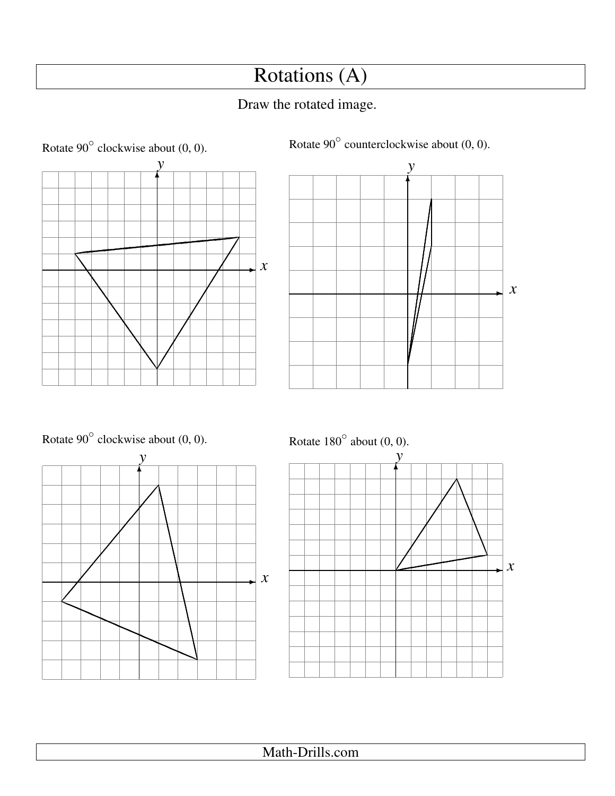# Rotations (A)

## Draw the rotated image.





Rotate  $90^\circ$  clockwise about  $(0, 0)$ .



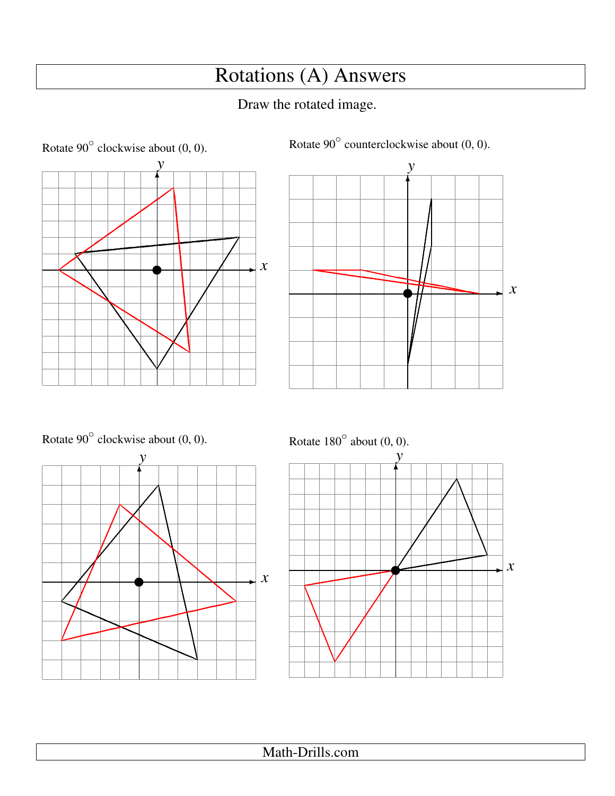# Rotations (A) Answers

## Draw the rotated image.





Rotate  $90^\circ$  clockwise about  $(0, 0)$ .



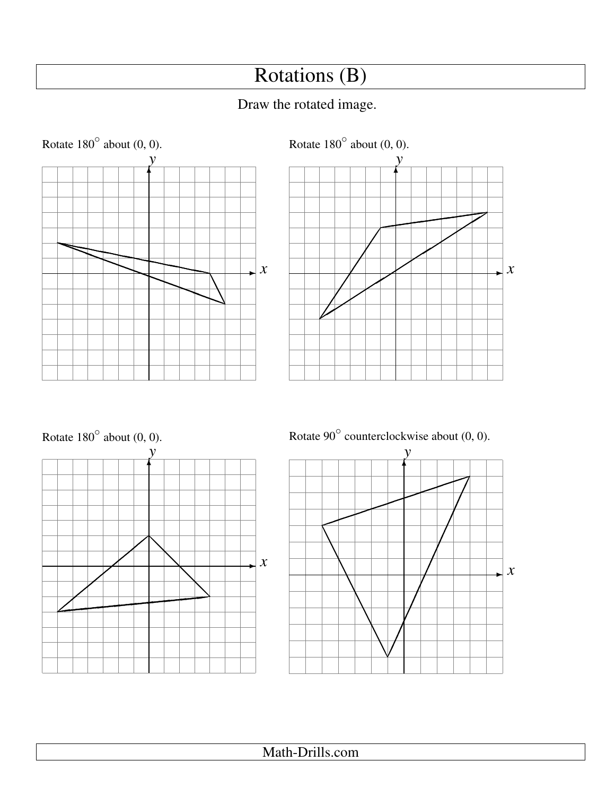# Rotations (B)

## Draw the rotated image.



Math-Drills.com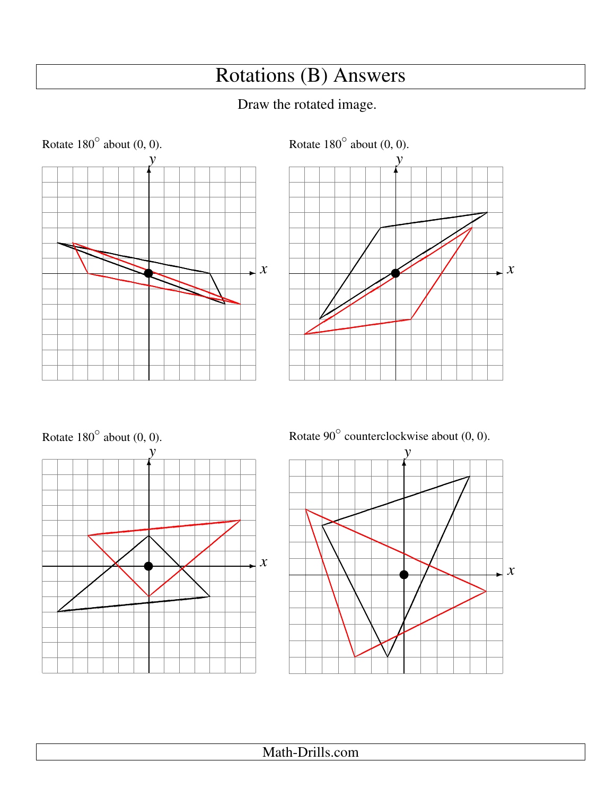# Rotations (B) Answers

## Draw the rotated image.







 $\boldsymbol{\mathcal{X}}$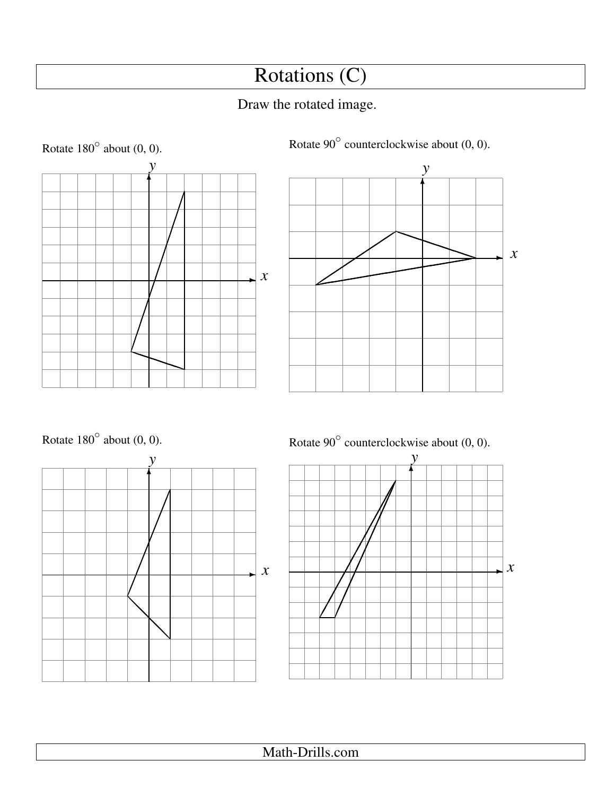# Rotations (C)

## Draw the rotated image.









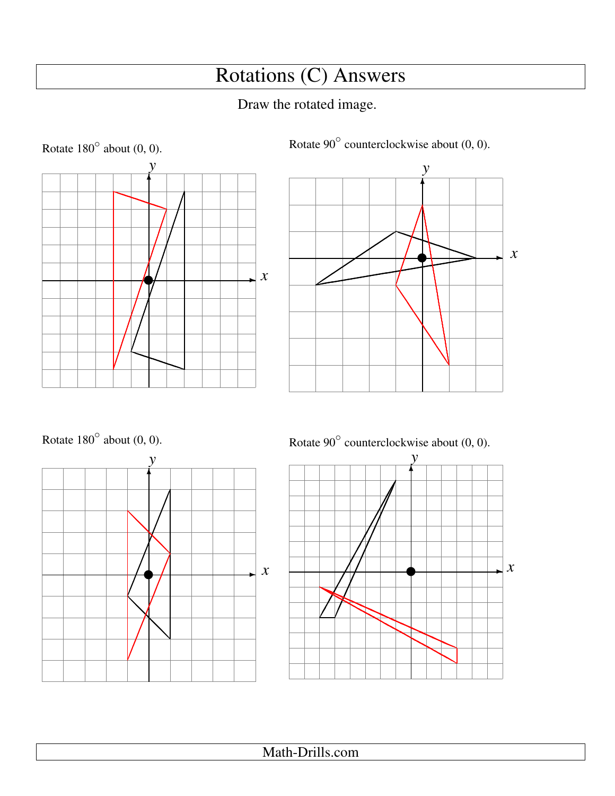# Rotations (C) Answers

## Draw the rotated image.





Rotate  $90^\circ$  counterclockwise about (0, 0).







Math-Drills.com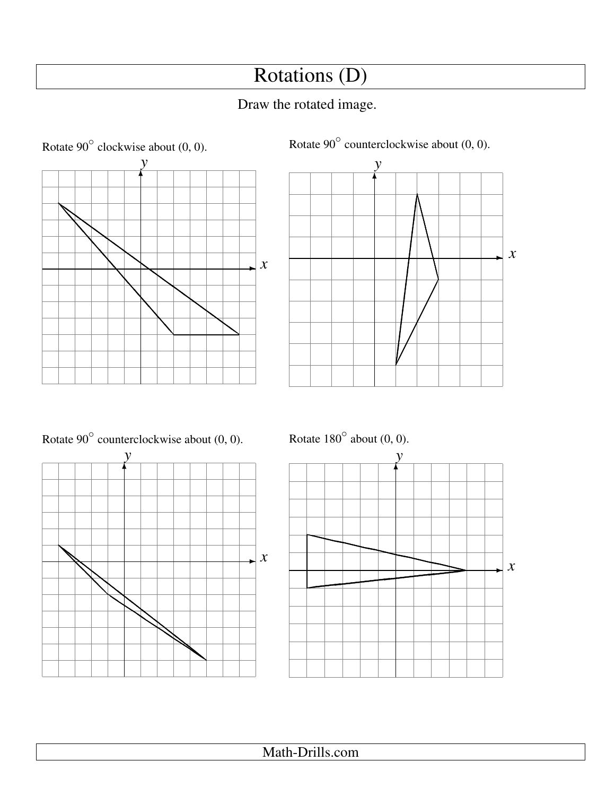# Rotations (D)

## Draw the rotated image.







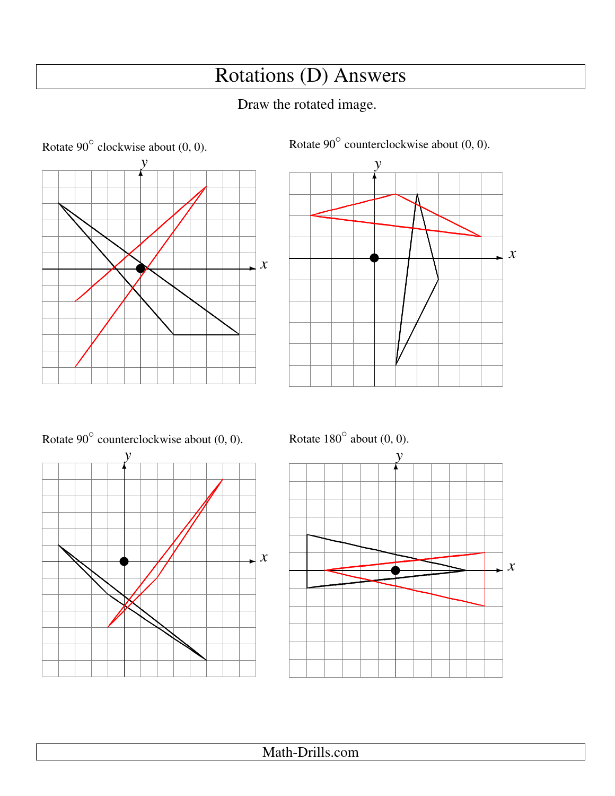# Rotations (D) Answers

## Draw the rotated image.





Rotate 90 $^{\circ}$  counterclockwise about (0, 0).





Rotate  $180^\circ$  about  $(0, 0)$ .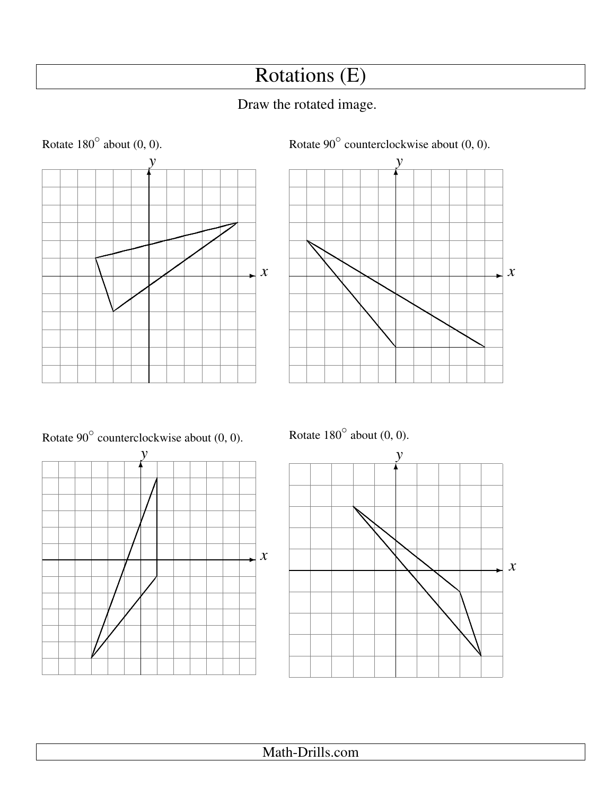# Rotations (E)

## Draw the rotated image.









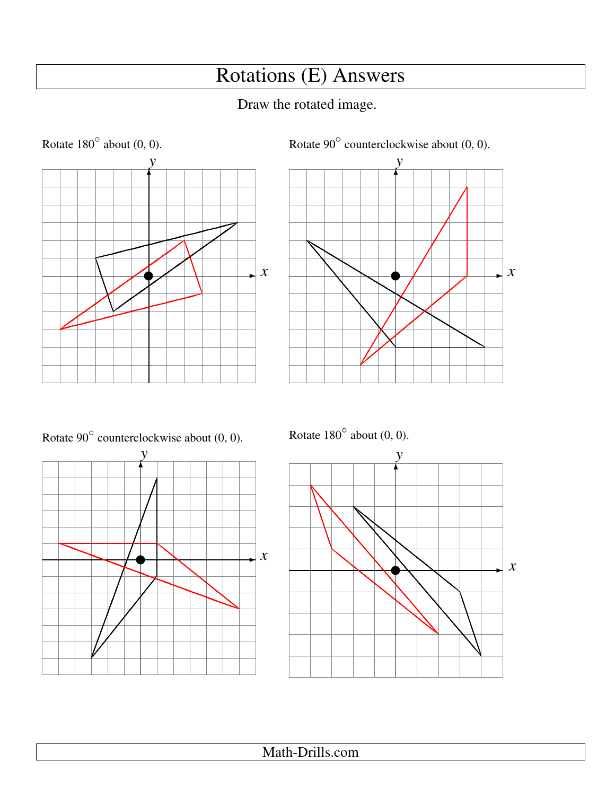# Rotations (E) Answers

## Draw the rotated image.





Rotate 90 $^{\circ}$  counterclockwise about (0, 0).



Rotate  $180^\circ$  about  $(0, 0)$ .

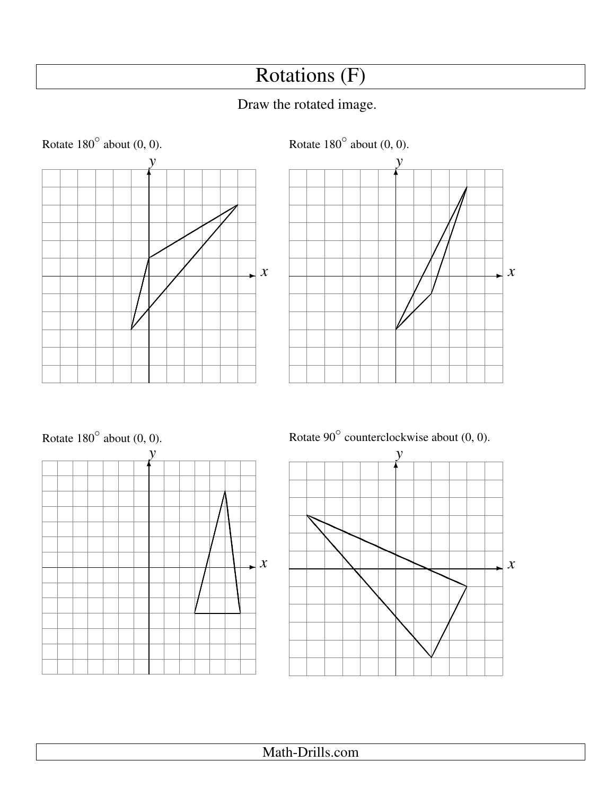# Rotations (F)

## Draw the rotated image.







 $\boldsymbol{x}$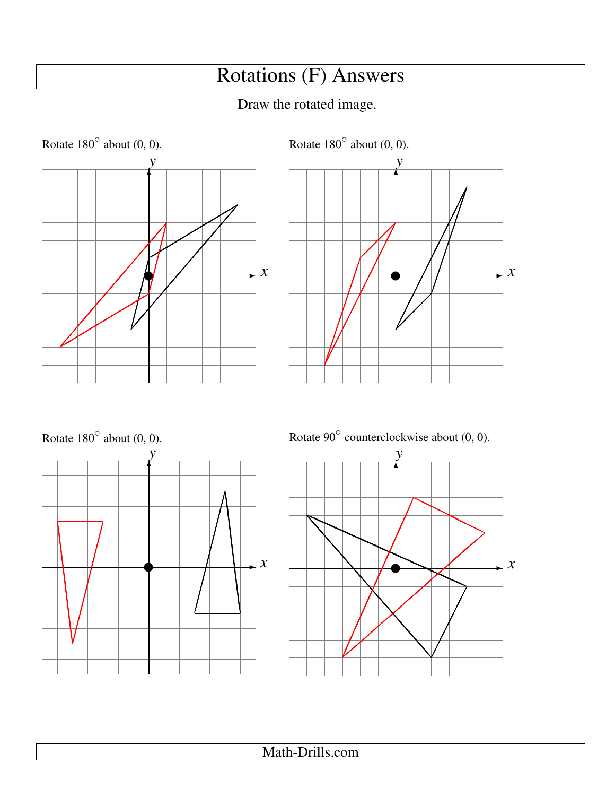# Rotations (F) Answers







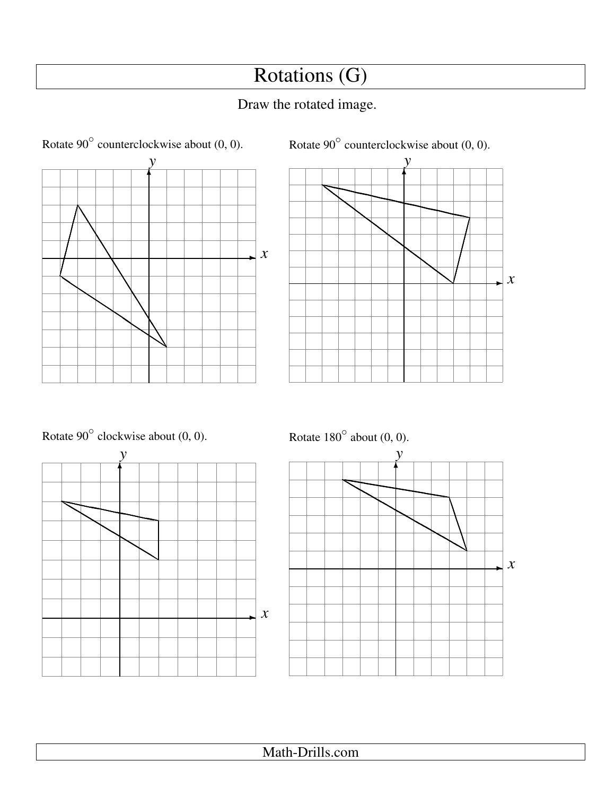# Rotations (G)





Rotate  $90^\circ$  clockwise about  $(0, 0)$ .



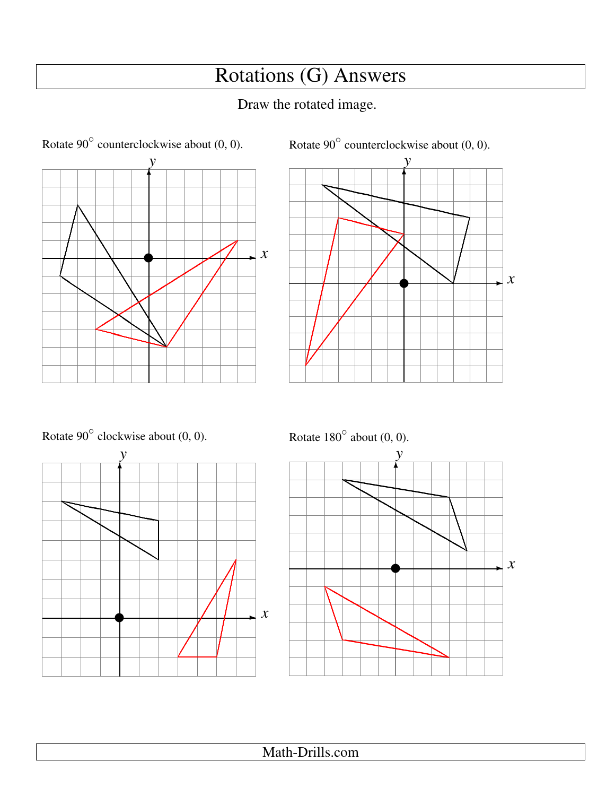# Rotations (G) Answers





Rotate  $90^\circ$  clockwise about  $(0, 0)$ .



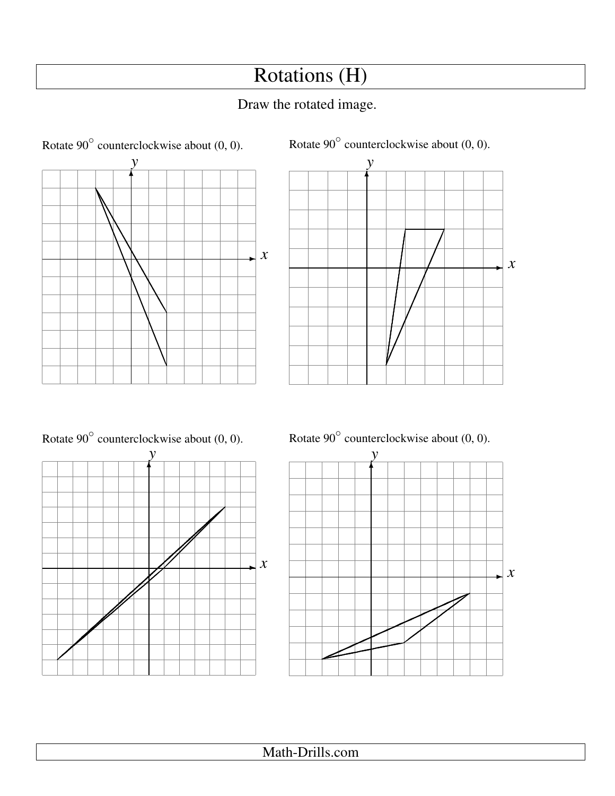## Rotations (H)

## Draw the rotated image.





Rotate  $90^{\circ}$  counterclockwise about  $(0, 0)$ .





Math-Drills.com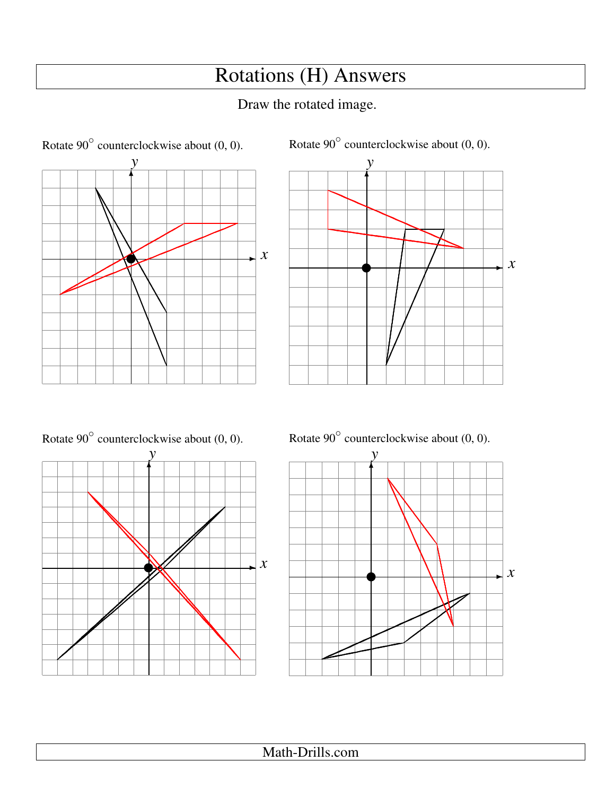# **Rotations (H) Answers**

### Draw the rotated image.







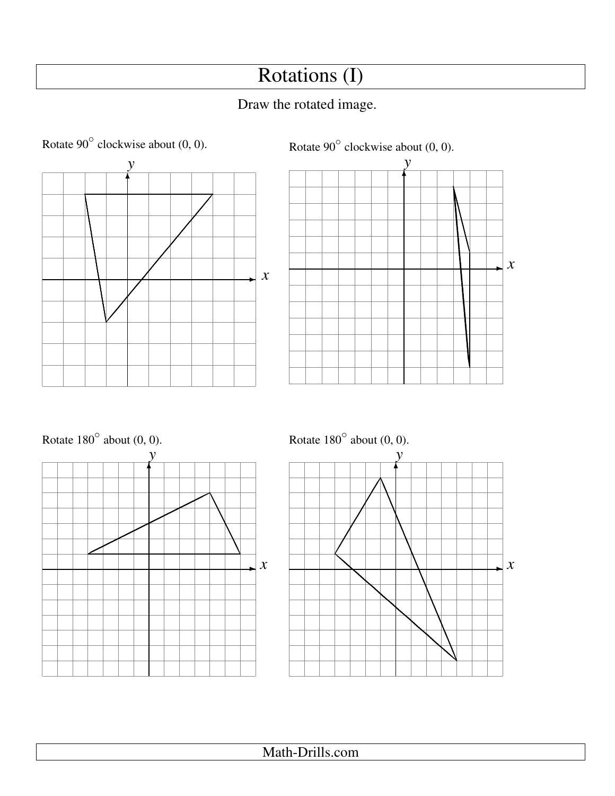# Rotations (I)







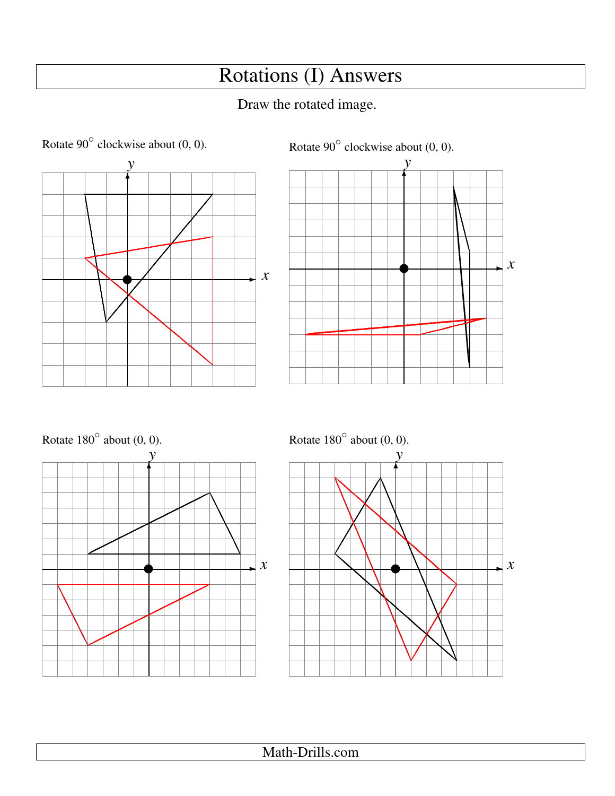# Rotations (I) Answers







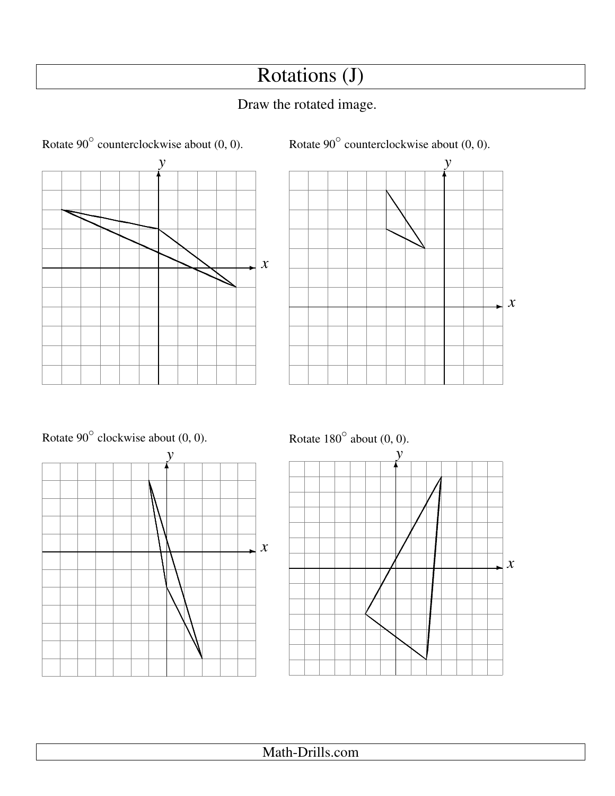## Rotations (J)





Rotate  $90^\circ$  clockwise about  $(0, 0)$ .